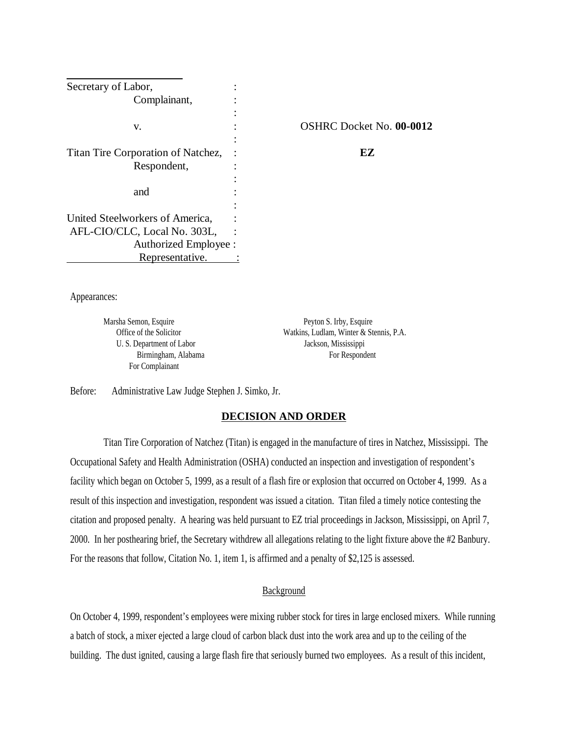| Secretary of Labor,                |                                 |
|------------------------------------|---------------------------------|
| Complainant,                       |                                 |
|                                    |                                 |
| v.                                 | <b>OSHRC Docket No. 00-0012</b> |
|                                    |                                 |
| Titan Tire Corporation of Natchez, | EZ                              |
| Respondent,                        |                                 |
|                                    |                                 |
| and                                |                                 |
|                                    |                                 |
| United Steelworkers of America,    |                                 |
| AFL-CIO/CLC, Local No. 303L,       |                                 |
| Authorized Employee :              |                                 |
| Representative.                    |                                 |

Appearances:

Marsha Semon, Esquire Peyton S. Irby, Esquire U. S. Department of Labor Jackson, Mississippi For Complainant

Office of the Solicitor Watkins, Ludlam, Winter & Stennis, P.A. Birmingham, Alabama For Respondent

Before: Administrative Law Judge Stephen J. Simko, Jr.

### **DECISION AND ORDER**

Titan Tire Corporation of Natchez (Titan) is engaged in the manufacture of tires in Natchez, Mississippi. The Occupational Safety and Health Administration (OSHA) conducted an inspection and investigation of respondent's facility which began on October 5, 1999, as a result of a flash fire or explosion that occurred on October 4, 1999. As a result of this inspection and investigation, respondent was issued a citation. Titan filed a timely notice contesting the citation and proposed penalty. A hearing was held pursuant to EZ trial proceedings in Jackson, Mississippi, on April 7, 2000. In her posthearing brief, the Secretary withdrew all allegations relating to the light fixture above the #2 Banbury. For the reasons that follow, Citation No. 1, item 1, is affirmed and a penalty of \$2,125 is assessed.

### Background

On October 4, 1999, respondent's employees were mixing rubber stock for tires in large enclosed mixers. While running a batch of stock, a mixer ejected a large cloud of carbon black dust into the work area and up to the ceiling of the building. The dust ignited, causing a large flash fire that seriously burned two employees. As a result of this incident,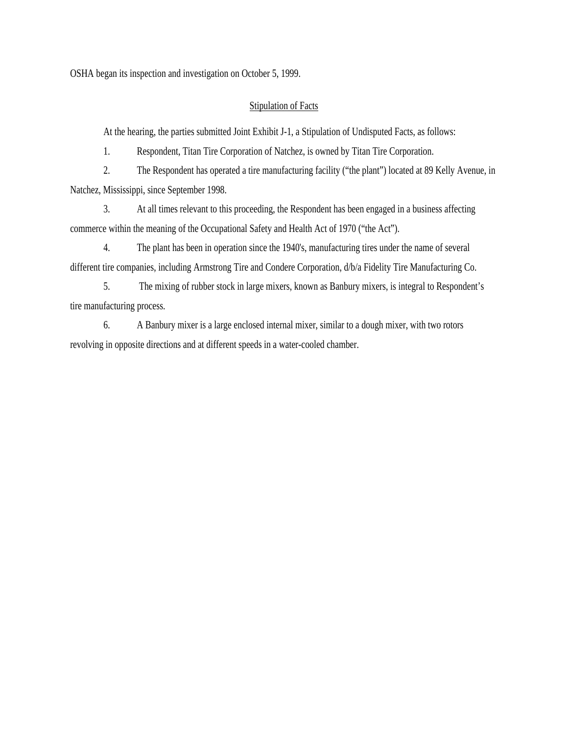OSHA began its inspection and investigation on October 5, 1999.

# **Stipulation of Facts**

At the hearing, the parties submitted Joint Exhibit J-1, a Stipulation of Undisputed Facts, as follows:

1. Respondent, Titan Tire Corporation of Natchez, is owned by Titan Tire Corporation.

2. The Respondent has operated a tire manufacturing facility ("the plant") located at 89 Kelly Avenue, in Natchez, Mississippi, since September 1998.

3. At all times relevant to this proceeding, the Respondent has been engaged in a business affecting commerce within the meaning of the Occupational Safety and Health Act of 1970 ("the Act").

4. The plant has been in operation since the 1940's, manufacturing tires under the name of several different tire companies, including Armstrong Tire and Condere Corporation, d/b/a Fidelity Tire Manufacturing Co.

5. The mixing of rubber stock in large mixers, known as Banbury mixers, is integral to Respondent's tire manufacturing process.

6. A Banbury mixer is a large enclosed internal mixer, similar to a dough mixer, with two rotors revolving in opposite directions and at different speeds in a water-cooled chamber.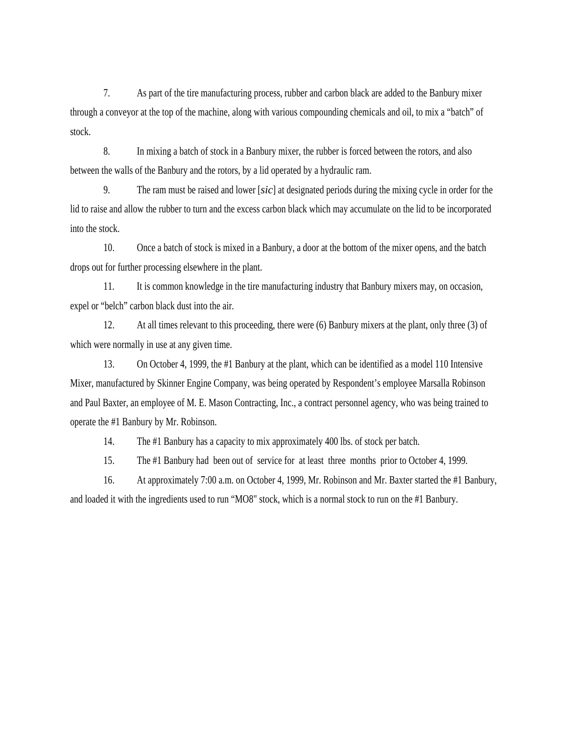7. As part of the tire manufacturing process, rubber and carbon black are added to the Banbury mixer through a conveyor at the top of the machine, along with various compounding chemicals and oil, to mix a "batch" of stock.

8. In mixing a batch of stock in a Banbury mixer, the rubber is forced between the rotors, and also between the walls of the Banbury and the rotors, by a lid operated by a hydraulic ram.

9. The ram must be raised and lower [*sic*] at designated periods during the mixing cycle in order for the lid to raise and allow the rubber to turn and the excess carbon black which may accumulate on the lid to be incorporated into the stock.

10. Once a batch of stock is mixed in a Banbury, a door at the bottom of the mixer opens, and the batch drops out for further processing elsewhere in the plant.

11. It is common knowledge in the tire manufacturing industry that Banbury mixers may, on occasion, expel or "belch" carbon black dust into the air.

12. At all times relevant to this proceeding, there were (6) Banbury mixers at the plant, only three (3) of which were normally in use at any given time.

13. On October 4, 1999, the #1 Banbury at the plant, which can be identified as a model 110 Intensive Mixer, manufactured by Skinner Engine Company, was being operated by Respondent's employee Marsalla Robinson and Paul Baxter, an employee of M. E. Mason Contracting, Inc., a contract personnel agency, who was being trained to operate the #1 Banbury by Mr. Robinson.

14. The #1 Banbury has a capacity to mix approximately 400 lbs. of stock per batch.

15. The #1 Banbury had been out of service for at least three months prior to October 4, 1999.

16. At approximately 7:00 a.m. on October 4, 1999, Mr. Robinson and Mr. Baxter started the #1 Banbury, and loaded it with the ingredients used to run "MO8" stock, which is a normal stock to run on the #1 Banbury.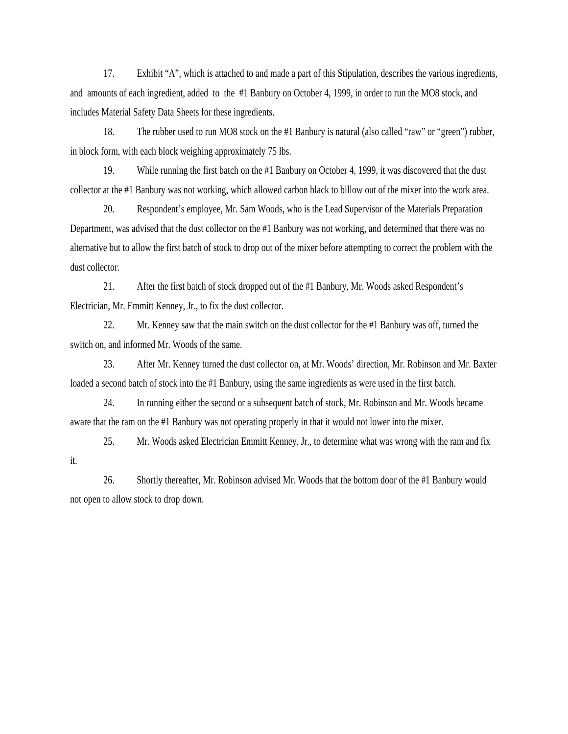17. Exhibit "A", which is attached to and made a part of this Stipulation, describes the various ingredients, and amounts of each ingredient, added to the #1 Banbury on October 4, 1999, in order to run the MO8 stock, and includes Material Safety Data Sheets for these ingredients.

18. The rubber used to run MO8 stock on the #1 Banbury is natural (also called "raw" or "green") rubber, in block form, with each block weighing approximately 75 lbs.

19. While running the first batch on the #1 Banbury on October 4, 1999, it was discovered that the dust collector at the #1 Banbury was not working, which allowed carbon black to billow out of the mixer into the work area.

20. Respondent's employee, Mr. Sam Woods, who is the Lead Supervisor of the Materials Preparation Department, was advised that the dust collector on the #1 Banbury was not working, and determined that there was no alternative but to allow the first batch of stock to drop out of the mixer before attempting to correct the problem with the dust collector.

21. After the first batch of stock dropped out of the #1 Banbury, Mr. Woods asked Respondent's Electrician, Mr. Emmitt Kenney, Jr., to fix the dust collector.

22. Mr. Kenney saw that the main switch on the dust collector for the #1 Banbury was off, turned the switch on, and informed Mr. Woods of the same.

23. After Mr. Kenney turned the dust collector on, at Mr. Woods' direction, Mr. Robinson and Mr. Baxter loaded a second batch of stock into the #1 Banbury, using the same ingredients as were used in the first batch.

24. In running either the second or a subsequent batch of stock, Mr. Robinson and Mr. Woods became aware that the ram on the #1 Banbury was not operating properly in that it would not lower into the mixer.

25. Mr. Woods asked Electrician Emmitt Kenney, Jr., to determine what was wrong with the ram and fix it.

26. Shortly thereafter, Mr. Robinson advised Mr. Woods that the bottom door of the #1 Banbury would not open to allow stock to drop down.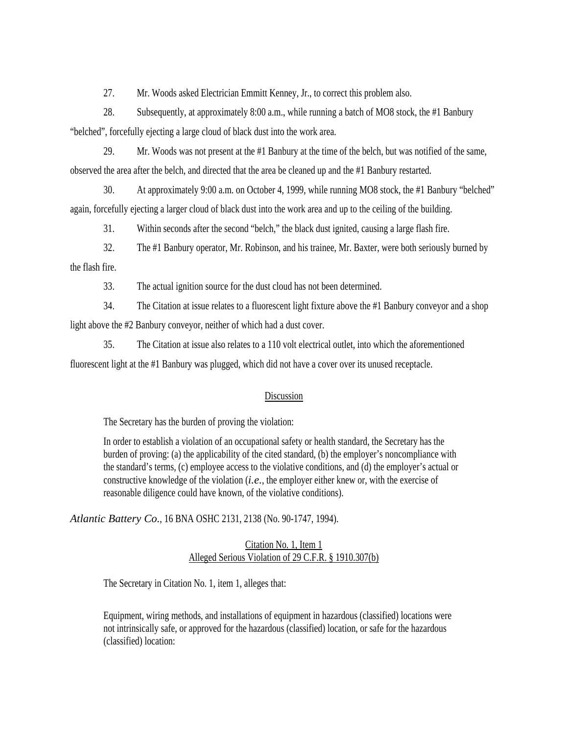27. Mr. Woods asked Electrician Emmitt Kenney, Jr., to correct this problem also.

28. Subsequently, at approximately 8:00 a.m., while running a batch of MO8 stock, the #1 Banbury "belched", forcefully ejecting a large cloud of black dust into the work area.

29. Mr. Woods was not present at the #1 Banbury at the time of the belch, but was notified of the same, observed the area after the belch, and directed that the area be cleaned up and the #1 Banbury restarted.

30. At approximately 9:00 a.m. on October 4, 1999, while running MO8 stock, the #1 Banbury "belched" again, forcefully ejecting a larger cloud of black dust into the work area and up to the ceiling of the building.

31. Within seconds after the second "belch," the black dust ignited, causing a large flash fire.

32. The #1 Banbury operator, Mr. Robinson, and his trainee, Mr. Baxter, were both seriously burned by the flash fire.

33. The actual ignition source for the dust cloud has not been determined.

34. The Citation at issue relates to a fluorescent light fixture above the #1 Banbury conveyor and a shop light above the #2 Banbury conveyor, neither of which had a dust cover.

35. The Citation at issue also relates to a 110 volt electrical outlet, into which the aforementioned fluorescent light at the #1 Banbury was plugged, which did not have a cover over its unused receptacle.

### **Discussion**

The Secretary has the burden of proving the violation:

In order to establish a violation of an occupational safety or health standard, the Secretary has the burden of proving: (a) the applicability of the cited standard, (b) the employer's noncompliance with the standard's terms, (c) employee access to the violative conditions, and (d) the employer's actual or constructive knowledge of the violation (*i.e.*, the employer either knew or, with the exercise of reasonable diligence could have known, of the violative conditions).

*Atlantic Battery Co.*, 16 BNA OSHC 2131, 2138 (No. 90-1747, 1994).

# Citation No. 1, Item 1 Alleged Serious Violation of 29 C.F.R. § 1910.307(b)

The Secretary in Citation No. 1, item 1, alleges that:

Equipment, wiring methods, and installations of equipment in hazardous (classified) locations were not intrinsically safe, or approved for the hazardous (classified) location, or safe for the hazardous (classified) location: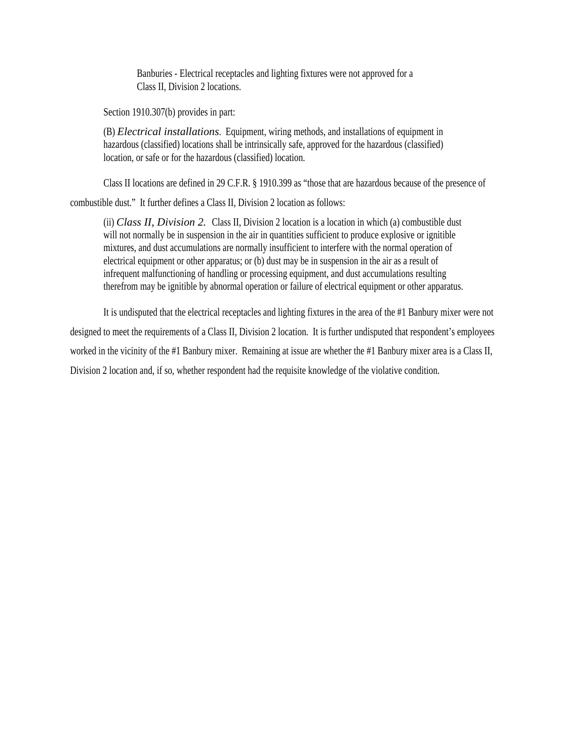Banburies - Electrical receptacles and lighting fixtures were not approved for a Class II, Division 2 locations.

Section 1910.307(b) provides in part:

(B) *Electrical installations*. Equipment, wiring methods, and installations of equipment in hazardous (classified) locations shall be intrinsically safe, approved for the hazardous (classified) location, or safe or for the hazardous (classified) location.

Class II locations are defined in 29 C.F.R. § 1910.399 as "those that are hazardous because of the presence of

combustible dust." It further defines a Class II, Division 2 location as follows:

(ii) *Class II, Division 2.* Class II, Division 2 location is a location in which (a) combustible dust will not normally be in suspension in the air in quantities sufficient to produce explosive or ignitible mixtures, and dust accumulations are normally insufficient to interfere with the normal operation of electrical equipment or other apparatus; or (b) dust may be in suspension in the air as a result of infrequent malfunctioning of handling or processing equipment, and dust accumulations resulting therefrom may be ignitible by abnormal operation or failure of electrical equipment or other apparatus.

It is undisputed that the electrical receptacles and lighting fixtures in the area of the #1 Banbury mixer were not designed to meet the requirements of a Class II, Division 2 location. It is further undisputed that respondent's employees worked in the vicinity of the #1 Banbury mixer. Remaining at issue are whether the #1 Banbury mixer area is a Class II, Division 2 location and, if so, whether respondent had the requisite knowledge of the violative condition.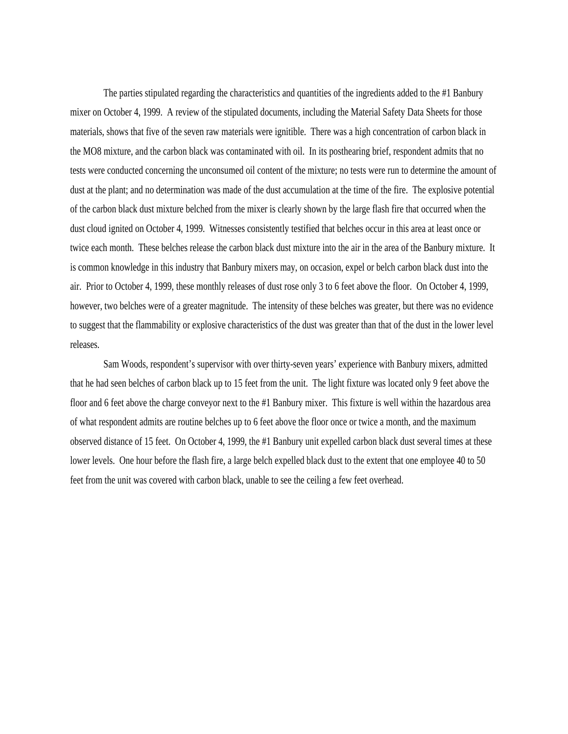The parties stipulated regarding the characteristics and quantities of the ingredients added to the #1 Banbury mixer on October 4, 1999. A review of the stipulated documents, including the Material Safety Data Sheets for those materials, shows that five of the seven raw materials were ignitible. There was a high concentration of carbon black in the MO8 mixture, and the carbon black was contaminated with oil. In its posthearing brief, respondent admits that no tests were conducted concerning the unconsumed oil content of the mixture; no tests were run to determine the amount of dust at the plant; and no determination was made of the dust accumulation at the time of the fire. The explosive potential of the carbon black dust mixture belched from the mixer is clearly shown by the large flash fire that occurred when the dust cloud ignited on October 4, 1999. Witnesses consistently testified that belches occur in this area at least once or twice each month. These belches release the carbon black dust mixture into the air in the area of the Banbury mixture. It is common knowledge in this industry that Banbury mixers may, on occasion, expel or belch carbon black dust into the air. Prior to October 4, 1999, these monthly releases of dust rose only 3 to 6 feet above the floor. On October 4, 1999, however, two belches were of a greater magnitude. The intensity of these belches was greater, but there was no evidence to suggest that the flammability or explosive characteristics of the dust was greater than that of the dust in the lower level releases.

Sam Woods, respondent's supervisor with over thirty-seven years' experience with Banbury mixers, admitted that he had seen belches of carbon black up to 15 feet from the unit. The light fixture was located only 9 feet above the floor and 6 feet above the charge conveyor next to the #1 Banbury mixer. This fixture is well within the hazardous area of what respondent admits are routine belches up to 6 feet above the floor once or twice a month, and the maximum observed distance of 15 feet. On October 4, 1999, the #1 Banbury unit expelled carbon black dust several times at these lower levels. One hour before the flash fire, a large belch expelled black dust to the extent that one employee 40 to 50 feet from the unit was covered with carbon black, unable to see the ceiling a few feet overhead.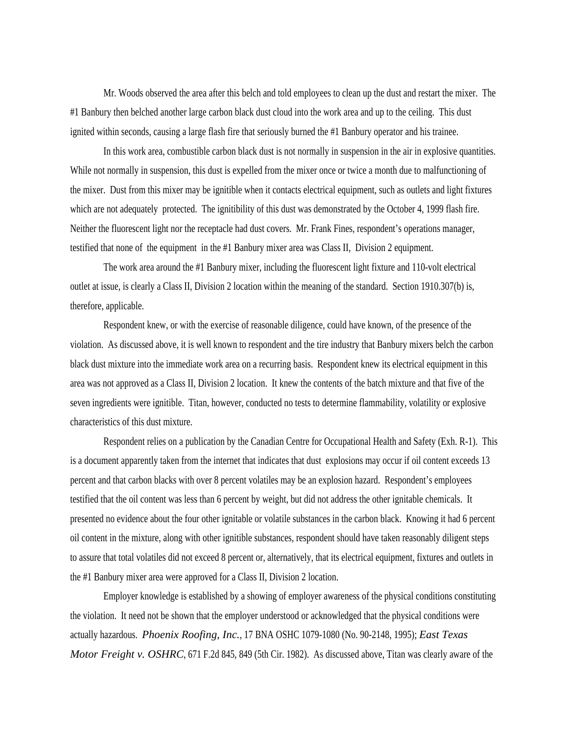Mr. Woods observed the area after this belch and told employees to clean up the dust and restart the mixer. The #1 Banbury then belched another large carbon black dust cloud into the work area and up to the ceiling. This dust ignited within seconds, causing a large flash fire that seriously burned the #1 Banbury operator and his trainee.

In this work area, combustible carbon black dust is not normally in suspension in the air in explosive quantities. While not normally in suspension, this dust is expelled from the mixer once or twice a month due to malfunctioning of the mixer. Dust from this mixer may be ignitible when it contacts electrical equipment, such as outlets and light fixtures which are not adequately protected. The ignitibility of this dust was demonstrated by the October 4, 1999 flash fire. Neither the fluorescent light nor the receptacle had dust covers. Mr. Frank Fines, respondent's operations manager, testified that none of the equipment in the #1 Banbury mixer area was Class II, Division 2 equipment.

The work area around the #1 Banbury mixer, including the fluorescent light fixture and 110-volt electrical outlet at issue, is clearly a Class II, Division 2 location within the meaning of the standard. Section 1910.307(b) is, therefore, applicable.

Respondent knew, or with the exercise of reasonable diligence, could have known, of the presence of the violation. As discussed above, it is well known to respondent and the tire industry that Banbury mixers belch the carbon black dust mixture into the immediate work area on a recurring basis. Respondent knew its electrical equipment in this area was not approved as a Class II, Division 2 location. It knew the contents of the batch mixture and that five of the seven ingredients were ignitible. Titan, however, conducted no tests to determine flammability, volatility or explosive characteristics of this dust mixture.

Respondent relies on a publication by the Canadian Centre for Occupational Health and Safety (Exh. R-1). This is a document apparently taken from the internet that indicates that dust explosions may occur if oil content exceeds 13 percent and that carbon blacks with over 8 percent volatiles may be an explosion hazard. Respondent's employees testified that the oil content was less than 6 percent by weight, but did not address the other ignitable chemicals. It presented no evidence about the four other ignitable or volatile substances in the carbon black. Knowing it had 6 percent oil content in the mixture, along with other ignitible substances, respondent should have taken reasonably diligent steps to assure that total volatiles did not exceed 8 percent or, alternatively, that its electrical equipment, fixtures and outlets in the #1 Banbury mixer area were approved for a Class II, Division 2 location.

Employer knowledge is established by a showing of employer awareness of the physical conditions constituting the violation. It need not be shown that the employer understood or acknowledged that the physical conditions were actually hazardous. *Phoenix Roofing, Inc.*, 17 BNA OSHC 1079-1080 (No. 90-2148, 1995); *East Texas Motor Freight v. OSHRC*, 671 F.2d 845, 849 (5th Cir. 1982). As discussed above, Titan was clearly aware of the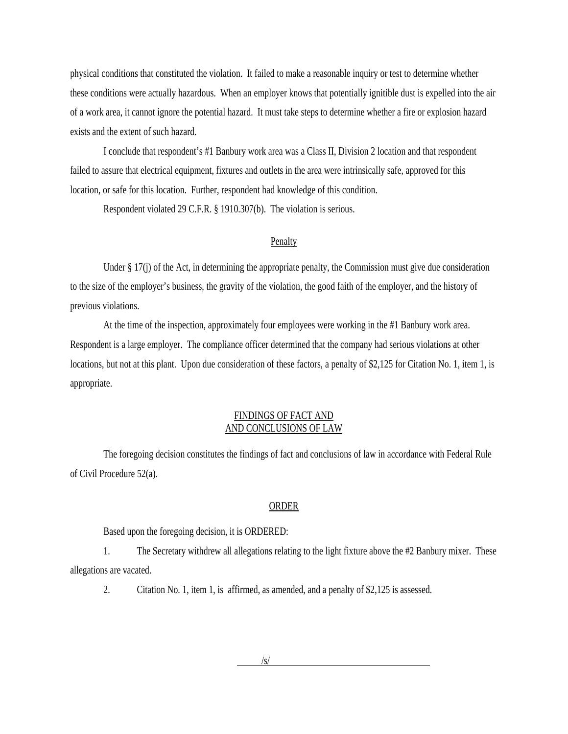physical conditions that constituted the violation. It failed to make a reasonable inquiry or test to determine whether these conditions were actually hazardous. When an employer knows that potentially ignitible dust is expelled into the air of a work area, it cannot ignore the potential hazard. It must take steps to determine whether a fire or explosion hazard exists and the extent of such hazard.

I conclude that respondent's #1 Banbury work area was a Class II, Division 2 location and that respondent failed to assure that electrical equipment, fixtures and outlets in the area were intrinsically safe, approved for this location, or safe for this location. Further, respondent had knowledge of this condition.

Respondent violated 29 C.F.R. § 1910.307(b). The violation is serious.

#### Penalty

Under § 17(j) of the Act, in determining the appropriate penalty, the Commission must give due consideration to the size of the employer's business, the gravity of the violation, the good faith of the employer, and the history of previous violations.

At the time of the inspection, approximately four employees were working in the #1 Banbury work area. Respondent is a large employer. The compliance officer determined that the company had serious violations at other locations, but not at this plant. Upon due consideration of these factors, a penalty of \$2,125 for Citation No. 1, item 1, is appropriate.

### FINDINGS OF FACT AND AND CONCLUSIONS OF LAW

The foregoing decision constitutes the findings of fact and conclusions of law in accordance with Federal Rule of Civil Procedure 52(a).

#### ORDER

Based upon the foregoing decision, it is ORDERED:

1. The Secretary withdrew all allegations relating to the light fixture above the #2 Banbury mixer. These allegations are vacated.

2. Citation No. 1, item 1, is affirmed, as amended, and a penalty of \$2,125 is assessed.